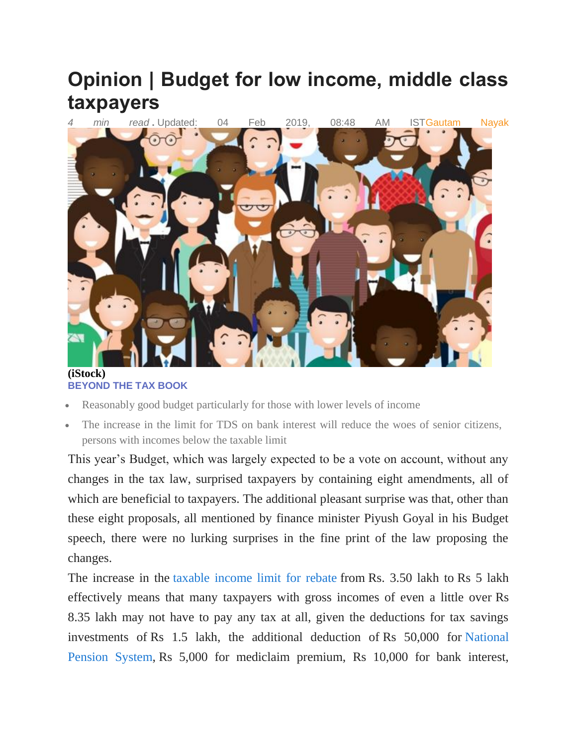## **Opinion | Budget for low income, middle class taxpayers**



## **[BEYOND THE TAX BOOK](https://www.livemint.com/column/beyond%20the%20tax%20book)**

- Reasonably good budget particularly for those with lower levels of income
- The increase in the limit for TDS on bank interest will reduce the woes of senior citizens, persons with incomes below the taxable limit

This year's Budget, which was largely expected to be a vote on account, without any changes in the tax law, surprised taxpayers by containing eight amendments, all of which are beneficial to taxpayers. The additional pleasant surprise was that, other than these eight proposals, all mentioned by finance minister Piyush Goyal in his Budget speech, there were no lurking surprises in the fine print of the law proposing the changes.

The increase in the [taxable income limit for rebate](https://www.livemint.com/budget/news/budget-2019-income-tax-exemption-limit-doubled-standard-deduction-raised-1549004959189.html) from Rs. 3.50 lakh to Rs 5 lakh effectively means that many taxpayers with gross incomes of even a little over Rs 8.35 lakh may not have to pay any tax at all, given the deductions for tax savings investments of Rs 1.5 lakh, the additional deduction of Rs 50,000 for [National](https://www.livemint.com/Money/IBDZ84Hq4i1isjn1OyhqOO/new-NPS-rules-income-tax-benefit-higher-government-contribut.html)  [Pension System,](https://www.livemint.com/Money/IBDZ84Hq4i1isjn1OyhqOO/new-NPS-rules-income-tax-benefit-higher-government-contribut.html) Rs 5,000 for mediclaim premium, Rs 10,000 for bank interest,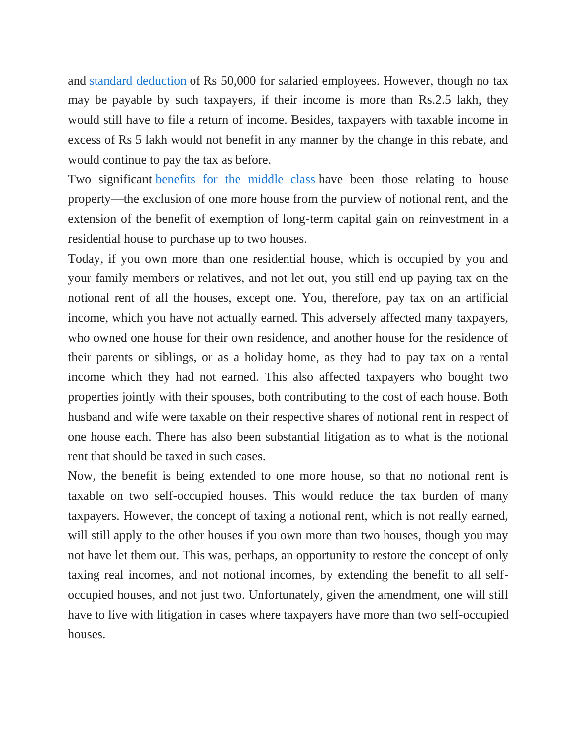and [standard deduction](https://www.livemint.com/budget/news/budget-2019-income-tax-exemption-limit-doubled-standard-deduction-raised-1549004959189.html) of Rs 50,000 for salaried employees. However, though no tax may be payable by such taxpayers, if their income is more than Rs.2.5 lakh, they would still have to file a return of income. Besides, taxpayers with taxable income in excess of Rs 5 lakh would not benefit in any manner by the change in this rebate, and would continue to pay the tax as before.

Two significant [benefits for the middle class](https://www.livemint.com/budget/news/more-tax-benefits-for-the-middle-class-1549044256917.html) have been those relating to house property—the exclusion of one more house from the purview of notional rent, and the extension of the benefit of exemption of long-term capital gain on reinvestment in a residential house to purchase up to two houses.

Today, if you own more than one residential house, which is occupied by you and your family members or relatives, and not let out, you still end up paying tax on the notional rent of all the houses, except one. You, therefore, pay tax on an artificial income, which you have not actually earned. This adversely affected many taxpayers, who owned one house for their own residence, and another house for the residence of their parents or siblings, or as a holiday home, as they had to pay tax on a rental income which they had not earned. This also affected taxpayers who bought two properties jointly with their spouses, both contributing to the cost of each house. Both husband and wife were taxable on their respective shares of notional rent in respect of one house each. There has also been substantial litigation as to what is the notional rent that should be taxed in such cases.

Now, the benefit is being extended to one more house, so that no notional rent is taxable on two self-occupied houses. This would reduce the tax burden of many taxpayers. However, the concept of taxing a notional rent, which is not really earned, will still apply to the other houses if you own more than two houses, though you may not have let them out. This was, perhaps, an opportunity to restore the concept of only taxing real incomes, and not notional incomes, by extending the benefit to all selfoccupied houses, and not just two. Unfortunately, given the amendment, one will still have to live with litigation in cases where taxpayers have more than two self-occupied houses.